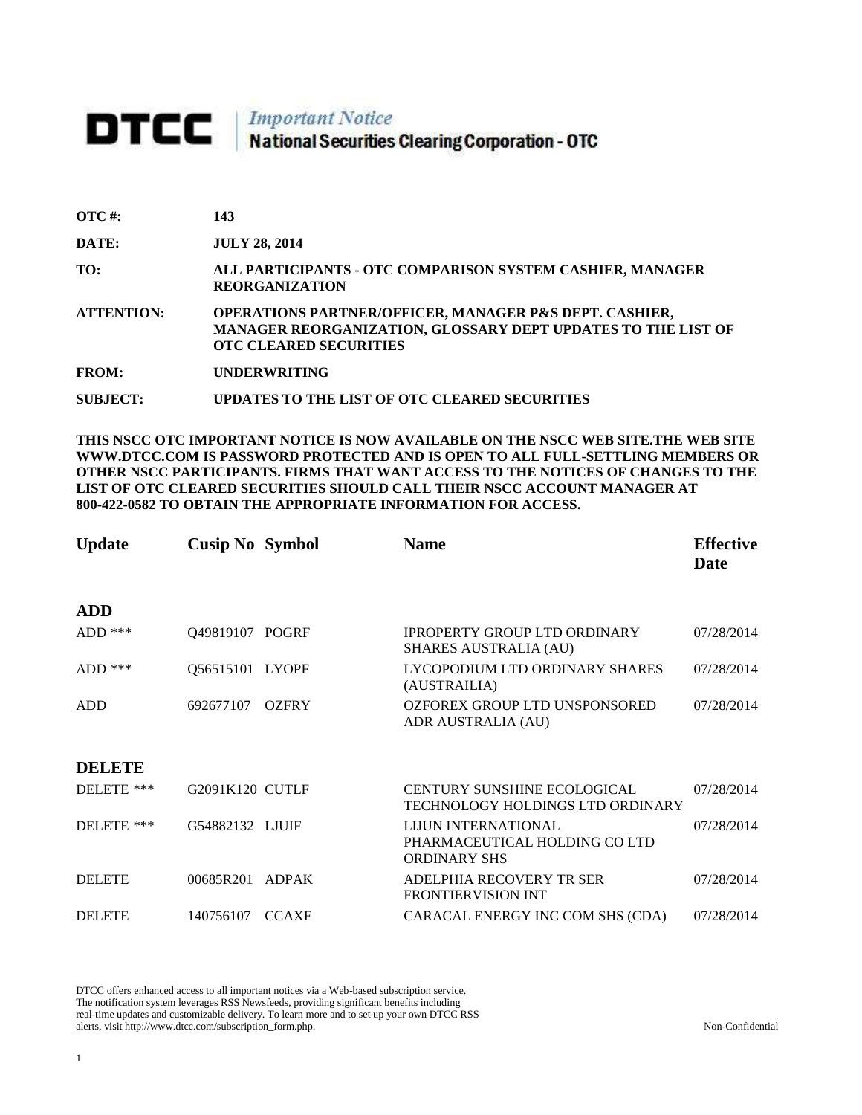# **DTCC** National Securities Clearing Corporation - OTC

**SUBJECT: UPDATES TO THE LIST OF OTC CLEARED SECURITIES**

| <b>OTC</b> #:     | 143                                                                                                                                                                |
|-------------------|--------------------------------------------------------------------------------------------------------------------------------------------------------------------|
| <b>DATE:</b>      | <b>JULY 28, 2014</b>                                                                                                                                               |
| TO:               | ALL PARTICIPANTS - OTC COMPARISON SYSTEM CASHIER, MANAGER<br><b>REORGANIZATION</b>                                                                                 |
| <b>ATTENTION:</b> | <b>OPERATIONS PARTNER/OFFICER, MANAGER P&amp;S DEPT. CASHIER,</b><br>MANAGER REORGANIZATION, GLOSSARY DEPT UPDATES TO THE LIST OF<br><b>OTC CLEARED SECURITIES</b> |
| <b>FROM:</b>      | <b>UNDERWRITING</b>                                                                                                                                                |

**THIS NSCC OTC IMPORTANT NOTICE IS NOW AVAILABLE ON THE NSCC WEB SITE.THE WEB SITE WWW.DTCC.COM IS PASSWORD PROTECTED AND IS OPEN TO ALL FULL-SETTLING MEMBERS OR OTHER NSCC PARTICIPANTS. FIRMS THAT WANT ACCESS TO THE NOTICES OF CHANGES TO THE LIST OF OTC CLEARED SECURITIES SHOULD CALL THEIR NSCC ACCOUNT MANAGER AT 800-422-0582 TO OBTAIN THE APPROPRIATE INFORMATION FOR ACCESS.** 

| <b>Update</b> | <b>Cusip No Symbol</b> |              | <b>Name</b>                                                                        | <b>Effective</b><br>Date |
|---------------|------------------------|--------------|------------------------------------------------------------------------------------|--------------------------|
| <b>ADD</b>    |                        |              |                                                                                    |                          |
| $ADD$ ***     | Q49819107 POGRF        |              | <b>IPROPERTY GROUP LTD ORDINARY</b><br><b>SHARES AUSTRALIA (AU)</b>                | 07/28/2014               |
| $ADD$ ***     | Q56515101 LYOPF        |              | LYCOPODIUM LTD ORDINARY SHARES<br>(AUSTRAILIA)                                     | 07/28/2014               |
| <b>ADD</b>    | 692677107              | <b>OZFRY</b> | OZFOREX GROUP LTD UNSPONSORED<br>ADR AUSTRALIA (AU)                                | 07/28/2014               |
| <b>DELETE</b> |                        |              |                                                                                    |                          |
| DELETE ***    | G2091K120 CUTLF        |              | <b>CENTURY SUNSHINE ECOLOGICAL</b><br>TECHNOLOGY HOLDINGS LTD ORDINARY             | 07/28/2014               |
| DELETE ***    | G54882132 LJUJF        |              | <b>LIJUN INTERNATIONAL</b><br>PHARMACEUTICAL HOLDING CO LTD<br><b>ORDINARY SHS</b> | 07/28/2014               |
| <b>DELETE</b> | 00685R201              | <b>ADPAK</b> | ADELPHIA RECOVERY TR SER<br><b>FRONTIERVISION INT</b>                              | 07/28/2014               |
| <b>DELETE</b> | 140756107              | <b>CCAXF</b> | CARACAL ENERGY INC COM SHS (CDA)                                                   | 07/28/2014               |

DTCC offers enhanced access to all important notices via a Web-based subscription service. The notification system leverages RSS Newsfeeds, providing significant benefits including real-time updates and customizable delivery. To learn more and to set up your own DTCC RSS alerts, visit http://www.dtcc.com/subscription\_form.php. Non-Confidential